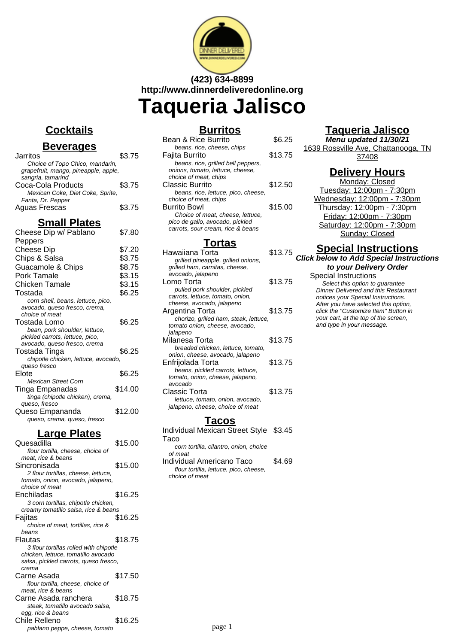

# **(423) 634-8899 http://www.dinnerdeliveredonline.org Taqueria Jalisco**

#### **Cocktails**

#### **Beverages**

| Jarritos                             | \$3.75 |
|--------------------------------------|--------|
| Choice of Topo Chico, mandarin,      |        |
| grapefruit, mango, pineapple, apple, |        |
| sangria, tamarind                    |        |
| Coca-Cola Products                   | \$3.75 |
| Mexican Coke, Diet Coke, Sprite,     |        |
| Fanta, Dr. Pepper                    |        |
| <b>Aguas Frescas</b>                 | \$3.75 |
|                                      |        |

#### **Small Plates**

| Cheese Dip w/ Pablano               | \$7.80  |
|-------------------------------------|---------|
| Peppers                             |         |
| <b>Cheese Dip</b>                   | \$7.20  |
| Chips & Salsa                       | \$3.75  |
| Guacamole & Chips                   | \$8.75  |
| Pork Tamale                         | \$3.15  |
| Chicken Tamale                      | \$3.15  |
| Tostada                             | \$6.25  |
| corn shell, beans, lettuce, pico,   |         |
| avocado, queso fresco, crema,       |         |
| choice of meat                      |         |
| Tostada Lomo                        | \$6.25  |
| bean, pork shoulder, lettuce,       |         |
| pickled carrots, lettuce, pico,     |         |
| avocado, queso fresco, crema        |         |
| Tostada Tinga                       | \$6.25  |
| chipotle chicken, lettuce, avocado, |         |
| queso fresco                        |         |
| Elote                               | \$6.25  |
| <b>Mexican Street Corn</b>          |         |
| Tinga Empanadas                     | \$14.00 |
| tinga (chipotle chicken), crema,    |         |
| queso, fresco                       |         |
| Queso Empananda                     | \$12.00 |
| queso, crema, queso, fresco         |         |
| <u> Large Plates</u>                |         |
| Quesadilla                          | \$15.00 |
| flour tortilla, cheese, choice of   |         |
| meat, rice & beans                  |         |
| Sincronisada                        | \$15.00 |
| 2 flour tortillas, cheese, lettuce, |         |
| tomato, onion, avocado, jalapeno,   |         |
| choice of meat                      |         |

Enchiladas \$16.25 3 corn tortillas, chipotle chicken, creamy tomatillo salsa, rice & beans Fajitas \$16.25 choice of meat, tortillas, rice &

Flautas \$18.75 3 flour tortillas rolled with chipotle chicken, lettuce, tomatillo avocado salsa, pickled carrots, queso fresco,

Carne Asada  $$17.50$ flour tortilla, cheese, choice of

Carne Asada ranchera \$18.75 steak, tomatillo avocado salsa,

Chile Relleno \$16.25 pablano peppe, cheese, tomato

beans

crema

meat, rice & beans

egg, rice & beans

| ≾urrıto<br>Б. |  |  |
|---------------|--|--|
|               |  |  |

| Bean & Rice Burrito                 | SG 25   |
|-------------------------------------|---------|
| beans, rice, cheese, chips          |         |
| Fajita Burrito                      | \$13.75 |
| beans, rice, grilled bell peppers,  |         |
| onions, tomato, lettuce, cheese,    |         |
| choice of meat, chips               |         |
| Classic Burrito                     | \$12.50 |
| beans, rice, lettuce, pico, cheese, |         |
| choice of meat, chips               |         |
| <b>Burrito Bowl</b>                 | \$15.00 |
| Choice of meat, cheese, lettuce,    |         |
| pico de gallo, avocado, pickled     |         |
| carrots, sour cream, rice & beans   |         |
|                                     |         |

#### **Tortas**

| Hawaiiana Torta                       | \$13.75 |
|---------------------------------------|---------|
| grilled pineapple, grilled onions,    |         |
| grilled ham, carnitas, cheese,        |         |
| avocado, jalapeno                     |         |
| Lomo Torta                            | \$13.75 |
| pulled pork shoulder, pickled         |         |
| carrots, lettuce, tomato, onion,      |         |
| cheese, avocado, jalapeno             |         |
| Argentina Torta                       | \$13.75 |
| chorizo, grilled ham, steak, lettuce, |         |
| tomato onion, cheese, avocado,        |         |
| jalapeno                              |         |
| Milanesa Torta                        | \$13.75 |
| breaded chicken, lettuce, tomato,     |         |
| onion, cheese, avocado, jalapeno      |         |
| Enfrijolada Torta                     | \$13.75 |
| beans, pickled carrots, lettuce,      |         |
| tomato, onion, cheese, jalapeno,      |         |
| avocado                               |         |
| Classic Torta                         | \$13.75 |
| lettuce, tomato, onion, avocado,      |         |
| jalapeno, cheese, choice of meat      |         |
|                                       |         |

#### **Tacos**

Individual Mexican Street Style \$3.45 Taco

corn tortilla, cilantro, onion, choice of meat

Individual Americano Taco \$4.69 flour tortilla, lettuce, pico, cheese, choice of meat

## **Taqueria Jalisco**

**Menu updated 11/30/21**

1639 Rossville Ave, Chattanooga, TN 37408

## **Delivery Hours**

Monday: Closed Tuesday: 12:00pm - 7:30pm Wednesday: 12:00pm - 7:30pm Thursday: 12:00pm - 7:30pm Friday: 12:00pm - 7:30pm Saturday: 12:00pm - 7:30pm Sunday: Closed

#### **Special Instructions**

**Click below to Add Special Instructions to your Delivery Order**

#### Special Instructions

Select this option to quarantee Dinner Delivered and this Restaurant notices your Special Instructions. After you have selected this option, click the "Customize Item" Button in your cart, at the top of the screen, and type in your message.